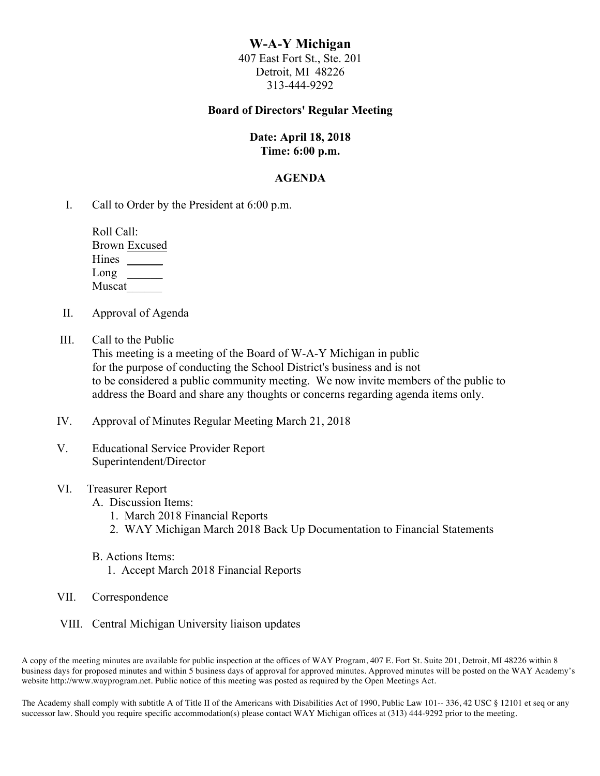# **W-A-Y Michigan**

407 East Fort St., Ste. 201 Detroit, MI 48226 313-444-9292

#### **Board of Directors' Regular Meeting**

# **Date: April 18, 2018 Time: 6:00 p.m.**

#### **AGENDA**

I. Call to Order by the President at 6:00 p.m.

| Roll Call:           |
|----------------------|
| <b>Brown Excused</b> |
| Hines                |
| Long                 |
| Muscat               |

- II. Approval of Agenda
- III. Call to the Public

This meeting is a meeting of the Board of W-A-Y Michigan in public for the purpose of conducting the School District's business and is not to be considered a public community meeting. We now invite members of the public to address the Board and share any thoughts or concerns regarding agenda items only.

- IV. Approval of Minutes Regular Meeting March 21, 2018
- V. Educational Service Provider Report Superintendent/Director
- VI. Treasurer Report
	- A. Discussion Items:
		- 1. March 2018 Financial Reports
		- 2. WAY Michigan March 2018 Back Up Documentation to Financial Statements
	- B. Actions Items:
		- 1. Accept March 2018 Financial Reports
- VII. Correspondence
- VIII. Central Michigan University liaison updates

A copy of the meeting minutes are available for public inspection at the offices of WAY Program, 407 E. Fort St. Suite 201, Detroit, MI 48226 within 8 business days for proposed minutes and within 5 business days of approval for approved minutes. Approved minutes will be posted on the WAY Academy's website http://www.wayprogram.net. Public notice of this meeting was posted as required by the Open Meetings Act.

The Academy shall comply with subtitle A of Title II of the Americans with Disabilities Act of 1990, Public Law 101-- 336, 42 USC § 12101 et seq or any successor law. Should you require specific accommodation(s) please contact WAY Michigan offices at (313) 444-9292 prior to the meeting.